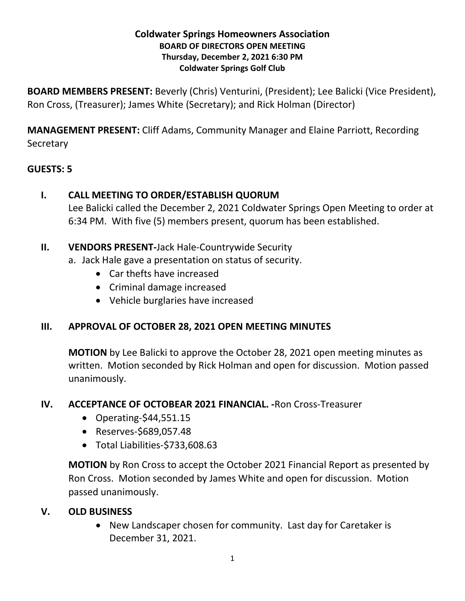#### **Coldwater Springs Homeowners Association BOARD OF DIRECTORS OPEN MEETING Thursday, December 2, 2021 6:30 PM Coldwater Springs Golf Club**

**BOARD MEMBERS PRESENT:** Beverly (Chris) Venturini, (President); Lee Balicki (Vice President), Ron Cross, (Treasurer); James White (Secretary); and Rick Holman (Director)

**MANAGEMENT PRESENT:** Cliff Adams, Community Manager and Elaine Parriott, Recording **Secretary** 

## **GUESTS: 5**

- **I. CALL MEETING TO ORDER/ESTABLISH QUORUM** Lee Balicki called the December 2, 2021 Coldwater Springs Open Meeting to order at 6:34 PM. With five (5) members present, quorum has been established.
- **II. VENDORS PRESENT-**Jack Hale-Countrywide Security
	- a. Jack Hale gave a presentation on status of security.
		- Car thefts have increased
		- Criminal damage increased
		- Vehicle burglaries have increased

# **III. APPROVAL OF OCTOBER 28, 2021 OPEN MEETING MINUTES**

**MOTION** by Lee Balicki to approve the October 28, 2021 open meeting minutes as written. Motion seconded by Rick Holman and open for discussion. Motion passed unanimously.

### **IV. ACCEPTANCE OF OCTOBEAR 2021 FINANCIAL. -**Ron Cross-Treasurer

- Operating*-*\$44,551.15
- Reserves-\$689,057.48
- Total Liabilities-\$733,608.63

**MOTION** by Ron Cross to accept the October 2021 Financial Report as presented by Ron Cross. Motion seconded by James White and open for discussion. Motion passed unanimously.

# **V. OLD BUSINESS**

• New Landscaper chosen for community. Last day for Caretaker is December 31, 2021.